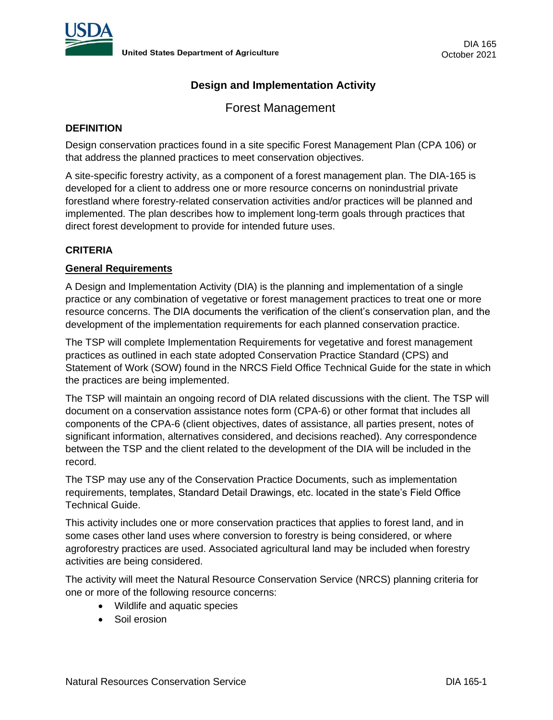

# **Design and Implementation Activity**

Forest Management

### **DEFINITION**

Design conservation practices found in a site specific Forest Management Plan (CPA 106) or that address the planned practices to meet conservation objectives.

A site-specific forestry activity, as a component of a forest management plan. The DIA-165 is developed for a client to address one or more resource concerns on nonindustrial private forestland where forestry-related conservation activities and/or practices will be planned and implemented. The plan describes how to implement long-term goals through practices that direct forest development to provide for intended future uses.

## **CRITERIA**

## **General Requirements**

A Design and Implementation Activity (DIA) is the planning and implementation of a single practice or any combination of vegetative or forest management practices to treat one or more resource concerns. The DIA documents the verification of the client's conservation plan, and the development of the implementation requirements for each planned conservation practice.

The TSP will complete Implementation Requirements for vegetative and forest management practices as outlined in each state adopted Conservation Practice Standard (CPS) and Statement of Work (SOW) found in the NRCS Field Office Technical Guide for the state in which the practices are being implemented.

The TSP will maintain an ongoing record of DIA related discussions with the client. The TSP will document on a conservation assistance notes form (CPA-6) or other format that includes all components of the CPA-6 (client objectives, dates of assistance, all parties present, notes of significant information, alternatives considered, and decisions reached). Any correspondence between the TSP and the client related to the development of the DIA will be included in the record.

The TSP may use any of the Conservation Practice Documents, such as implementation requirements, templates, Standard Detail Drawings, etc. located in the state's Field Office Technical Guide.

This activity includes one or more conservation practices that applies to forest land, and in some cases other land uses where conversion to forestry is being considered, or where agroforestry practices are used. Associated agricultural land may be included when forestry activities are being considered.

The activity will meet the Natural Resource Conservation Service (NRCS) planning criteria for one or more of the following resource concerns:

- Wildlife and aquatic species
- Soil erosion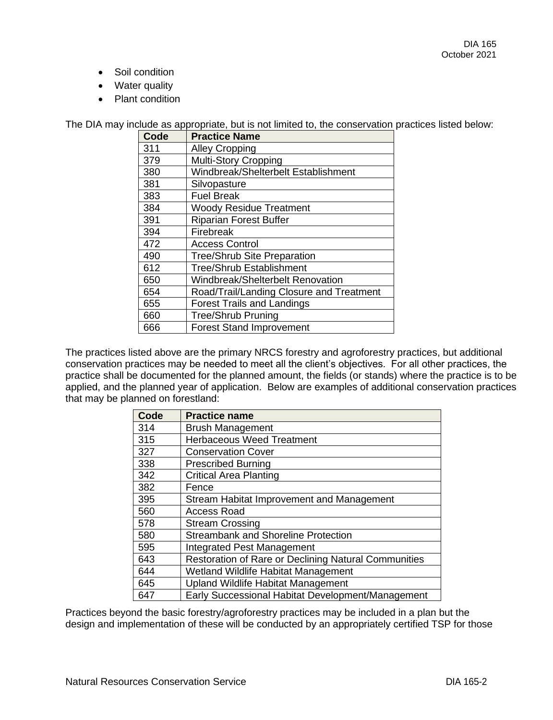- Soil condition
- Water quality
- Plant condition

The DIA may include as appropriate, but is not limited to, the conservation practices listed below:

| Code | <b>Practice Name</b>                     |
|------|------------------------------------------|
| 311  | <b>Alley Cropping</b>                    |
| 379  | <b>Multi-Story Cropping</b>              |
| 380  | Windbreak/Shelterbelt Establishment      |
| 381  | Silvopasture                             |
| 383  | <b>Fuel Break</b>                        |
| 384  | <b>Woody Residue Treatment</b>           |
| 391  | <b>Riparian Forest Buffer</b>            |
| 394  | Firebreak                                |
| 472  | <b>Access Control</b>                    |
| 490  | <b>Tree/Shrub Site Preparation</b>       |
| 612  | <b>Tree/Shrub Establishment</b>          |
| 650  | Windbreak/Shelterbelt Renovation         |
| 654  | Road/Trail/Landing Closure and Treatment |
| 655  | <b>Forest Trails and Landings</b>        |
| 660  | <b>Tree/Shrub Pruning</b>                |
| 666  | <b>Forest Stand Improvement</b>          |

The practices listed above are the primary NRCS forestry and agroforestry practices, but additional conservation practices may be needed to meet all the client's objectives. For all other practices, the practice shall be documented for the planned amount, the fields (or stands) where the practice is to be applied, and the planned year of application. Below are examples of additional conservation practices that may be planned on forestland:

| Code | <b>Practice name</b>                                 |
|------|------------------------------------------------------|
| 314  | <b>Brush Management</b>                              |
| 315  | <b>Herbaceous Weed Treatment</b>                     |
| 327  | <b>Conservation Cover</b>                            |
| 338  | <b>Prescribed Burning</b>                            |
| 342  | <b>Critical Area Planting</b>                        |
| 382  | Fence                                                |
| 395  | Stream Habitat Improvement and Management            |
| 560  | <b>Access Road</b>                                   |
| 578  | <b>Stream Crossing</b>                               |
| 580  | <b>Streambank and Shoreline Protection</b>           |
| 595  | Integrated Pest Management                           |
| 643  | Restoration of Rare or Declining Natural Communities |
| 644  | Wetland Wildlife Habitat Management                  |
| 645  | <b>Upland Wildlife Habitat Management</b>            |
| 647  | Early Successional Habitat Development/Management    |

Practices beyond the basic forestry/agroforestry practices may be included in a plan but the design and implementation of these will be conducted by an appropriately certified TSP for those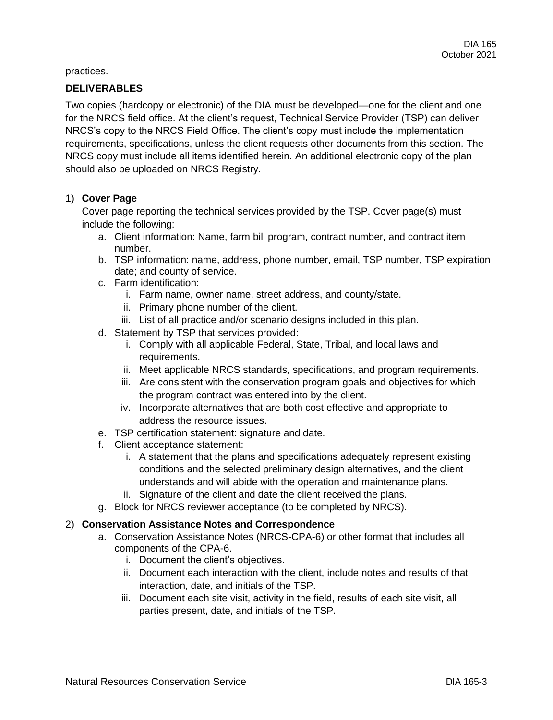practices.

#### **DELIVERABLES**

Two copies (hardcopy or electronic) of the DIA must be developed—one for the client and one for the NRCS field office. At the client's request, Technical Service Provider (TSP) can deliver NRCS's copy to the NRCS Field Office. The client's copy must include the implementation requirements, specifications, unless the client requests other documents from this section. The NRCS copy must include all items identified herein. An additional electronic copy of the plan should also be uploaded on NRCS Registry.

## 1) **Cover Page**

Cover page reporting the technical services provided by the TSP. Cover page(s) must include the following:

- a. Client information: Name, farm bill program, contract number, and contract item number.
- b. TSP information: name, address, phone number, email, TSP number, TSP expiration date; and county of service.
- c. Farm identification:
	- i. Farm name, owner name, street address, and county/state.
	- ii. Primary phone number of the client.
	- iii. List of all practice and/or scenario designs included in this plan.
- d. Statement by TSP that services provided:
	- i. Comply with all applicable Federal, State, Tribal, and local laws and requirements.
	- ii. Meet applicable NRCS standards, specifications, and program requirements.
	- iii. Are consistent with the conservation program goals and objectives for which the program contract was entered into by the client.
	- iv. Incorporate alternatives that are both cost effective and appropriate to address the resource issues.
- e. TSP certification statement: signature and date.
- f. Client acceptance statement:
	- i. A statement that the plans and specifications adequately represent existing conditions and the selected preliminary design alternatives, and the client understands and will abide with the operation and maintenance plans.
	- ii. Signature of the client and date the client received the plans.
- g. Block for NRCS reviewer acceptance (to be completed by NRCS).

#### 2) **Conservation Assistance Notes and Correspondence**

- a. Conservation Assistance Notes (NRCS-CPA-6) or other format that includes all components of the CPA-6.
	- i. Document the client's objectives.
	- ii. Document each interaction with the client, include notes and results of that interaction, date, and initials of the TSP.
	- iii. Document each site visit, activity in the field, results of each site visit, all parties present, date, and initials of the TSP.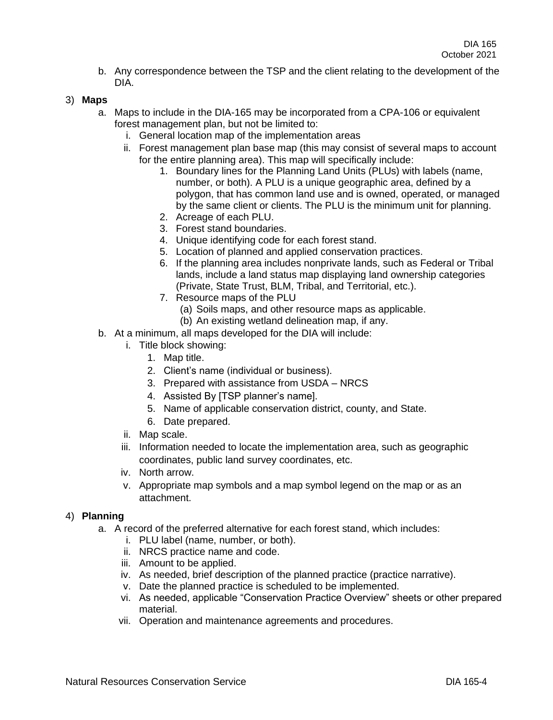b. Any correspondence between the TSP and the client relating to the development of the DIA.

## 3) **Maps**

- a. Maps to include in the DIA-165 may be incorporated from a CPA-106 or equivalent forest management plan, but not be limited to:
	- i. General location map of the implementation areas
	- ii. Forest management plan base map (this may consist of several maps to account for the entire planning area). This map will specifically include:
		- 1. Boundary lines for the Planning Land Units (PLUs) with labels (name, number, or both). A PLU is a unique geographic area, defined by a polygon, that has common land use and is owned, operated, or managed by the same client or clients. The PLU is the minimum unit for planning.
		- 2. Acreage of each PLU.
		- 3. Forest stand boundaries.
		- 4. Unique identifying code for each forest stand.
		- 5. Location of planned and applied conservation practices.
		- 6. If the planning area includes nonprivate lands, such as Federal or Tribal lands, include a land status map displaying land ownership categories (Private, State Trust, BLM, Tribal, and Territorial, etc.).
		- 7. Resource maps of the PLU
			- (a) Soils maps, and other resource maps as applicable.
			- (b) An existing wetland delineation map, if any.
- b. At a minimum, all maps developed for the DIA will include:
	- i. Title block showing:
		- 1. Map title.
		- 2. Client's name (individual or business).
		- 3. Prepared with assistance from USDA NRCS
		- 4. Assisted By [TSP planner's name].
		- 5. Name of applicable conservation district, county, and State.
		- 6. Date prepared.
	- ii. Map scale.
	- iii. Information needed to locate the implementation area, such as geographic coordinates, public land survey coordinates, etc.
	- iv. North arrow.
	- v. Appropriate map symbols and a map symbol legend on the map or as an attachment.

#### 4) **Planning**

- a. A record of the preferred alternative for each forest stand, which includes:
	- i. PLU label (name, number, or both).
	- ii. NRCS practice name and code.
	- iii. Amount to be applied.
	- iv. As needed, brief description of the planned practice (practice narrative).
	- v. Date the planned practice is scheduled to be implemented.
	- vi. As needed, applicable "Conservation Practice Overview" sheets or other prepared material.
	- vii. Operation and maintenance agreements and procedures.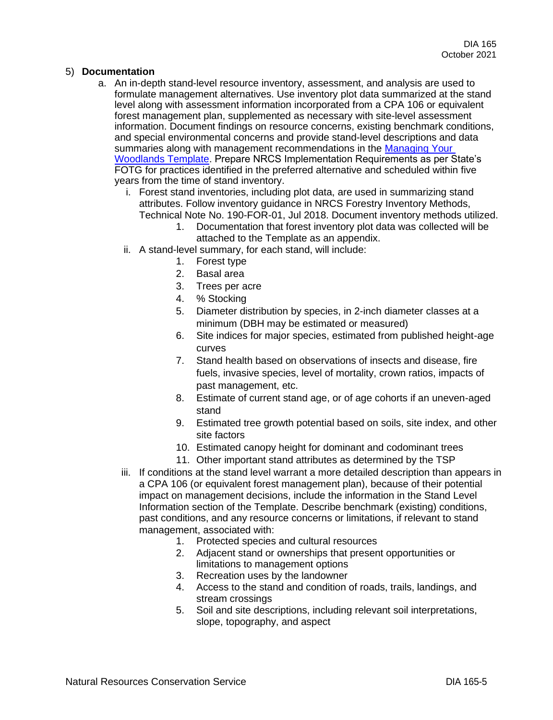## 5) **Documentation**

- a. An in-depth stand-level resource inventory, assessment, and analysis are used to formulate management alternatives. Use inventory plot data summarized at the stand level along with assessment information incorporated from a CPA 106 or equivalent forest management plan, supplemented as necessary with site-level assessment information. Document findings on resource concerns, existing benchmark conditions, and special environmental concerns and provide stand-level descriptions and data summaries along with management recommendations in the Managing Your [Woodlands Template.](https://www.nrcs.usda.gov/wps/PA_NRCSConsumption/download?cid=nrcseprd1361475&ext=pdf) Prepare NRCS Implementation Requirements as per State's FOTG for practices identified in the preferred alternative and scheduled within five years from the time of stand inventory.
	- i. Forest stand inventories, including plot data, are used in summarizing stand attributes. Follow inventory guidance in NRCS Forestry Inventory Methods, Technical Note No. 190-FOR-01, Jul 2018. Document inventory methods utilized.
		- 1. Documentation that forest inventory plot data was collected will be attached to the Template as an appendix.
	- ii. A stand-level summary, for each stand, will include:
		- 1. Forest type
		- 2. Basal area
		- 3. Trees per acre
		- 4. % Stocking
		- 5. Diameter distribution by species, in 2-inch diameter classes at a minimum (DBH may be estimated or measured)
		- 6. Site indices for major species, estimated from published height-age curves
		- 7. Stand health based on observations of insects and disease, fire fuels, invasive species, level of mortality, crown ratios, impacts of past management, etc.
		- 8. Estimate of current stand age, or of age cohorts if an uneven-aged stand
		- 9. Estimated tree growth potential based on soils, site index, and other site factors
		- 10. Estimated canopy height for dominant and codominant trees
		- 11. Other important stand attributes as determined by the TSP
	- iii. If conditions at the stand level warrant a more detailed description than appears in a CPA 106 (or equivalent forest management plan), because of their potential impact on management decisions, include the information in the Stand Level Information section of the Template. Describe benchmark (existing) conditions, past conditions, and any resource concerns or limitations, if relevant to stand management, associated with:
		- 1. Protected species and cultural resources
		- 2. Adjacent stand or ownerships that present opportunities or limitations to management options
		- 3. Recreation uses by the landowner
		- 4. Access to the stand and condition of roads, trails, landings, and stream crossings
		- 5. Soil and site descriptions, including relevant soil interpretations, slope, topography, and aspect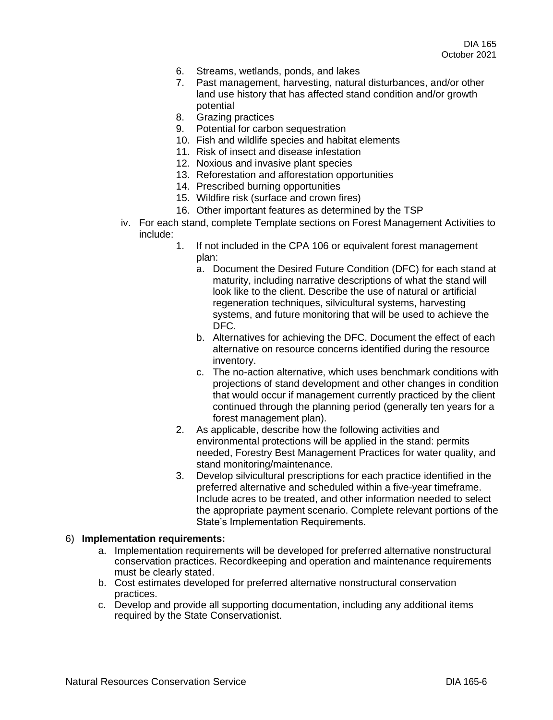- 6. Streams, wetlands, ponds, and lakes
- 7. Past management, harvesting, natural disturbances, and/or other land use history that has affected stand condition and/or growth potential
- 8. Grazing practices
- 9. Potential for carbon sequestration
- 10. Fish and wildlife species and habitat elements
- 11. Risk of insect and disease infestation
- 12. Noxious and invasive plant species
- 13. Reforestation and afforestation opportunities
- 14. Prescribed burning opportunities
- 15. Wildfire risk (surface and crown fires)
- 16. Other important features as determined by the TSP
- iv. For each stand, complete Template sections on Forest Management Activities to include:
	- 1. If not included in the CPA 106 or equivalent forest management plan:
		- a. Document the Desired Future Condition (DFC) for each stand at maturity, including narrative descriptions of what the stand will look like to the client. Describe the use of natural or artificial regeneration techniques, silvicultural systems, harvesting systems, and future monitoring that will be used to achieve the DFC.
		- b. Alternatives for achieving the DFC. Document the effect of each alternative on resource concerns identified during the resource inventory.
		- c. The no-action alternative, which uses benchmark conditions with projections of stand development and other changes in condition that would occur if management currently practiced by the client continued through the planning period (generally ten years for a forest management plan).
	- 2. As applicable, describe how the following activities and environmental protections will be applied in the stand: permits needed, Forestry Best Management Practices for water quality, and stand monitoring/maintenance.
	- 3. Develop silvicultural prescriptions for each practice identified in the preferred alternative and scheduled within a five-year timeframe. Include acres to be treated, and other information needed to select the appropriate payment scenario. Complete relevant portions of the State's Implementation Requirements.

#### 6) **Implementation requirements:**

- a. Implementation requirements will be developed for preferred alternative nonstructural conservation practices. Recordkeeping and operation and maintenance requirements must be clearly stated.
- b. Cost estimates developed for preferred alternative nonstructural conservation practices.
- c. Develop and provide all supporting documentation, including any additional items required by the State Conservationist.